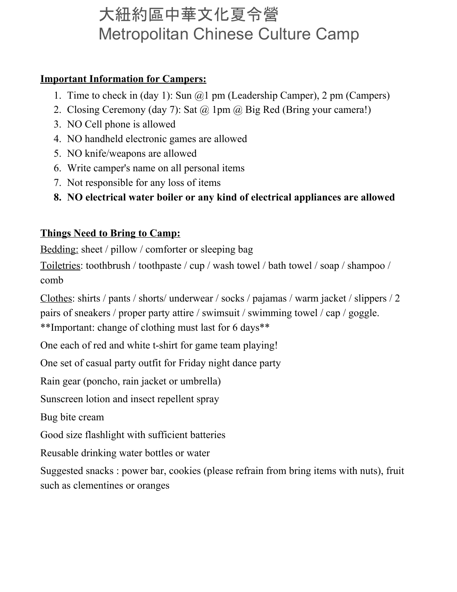# 大紐約區中華文化夏令營 Metropolitan Chinese Culture Camp

#### **Important Information for Campers:**

- 1. Time to check in (day 1): Sun  $\omega$  pm (Leadership Camper), 2 pm (Campers)
- 2. Closing Ceremony (day 7): Sat @ 1pm @ Big Red (Bring your camera!)
- 3. NO Cell phone is allowed
- 4. NO handheld electronic games are allowed
- 5. NO knife/weapons are allowed
- 6. Write camper's name on all personal items
- 7. Not responsible for any loss of items
- **8. NO electrical water boiler or any kind of electrical appliances are allowed**

### **Things Need to Bring to Camp:**

Bedding: sheet / pillow / comforter or sleeping bag

Toiletries: toothbrush / toothpaste / cup / wash towel / bath towel / soap / shampoo / comb

Clothes: shirts / pants / shorts/ underwear / socks / pajamas / warm jacket / slippers / 2 pairs of sneakers / proper party attire / swimsuit / swimming towel / cap / goggle. \*\*Important: change of clothing must last for 6 days\*\*

One each of red and white t-shirt for game team playing!

One set of casual party outfit for Friday night dance party

Rain gear (poncho, rain jacket or umbrella)

Sunscreen lotion and insect repellent spray

Bug bite cream

Good size flashlight with sufficient batteries

Reusable drinking water bottles or water

Suggested snacks : power bar, cookies (please refrain from bring items with nuts), fruit such as clementines or oranges